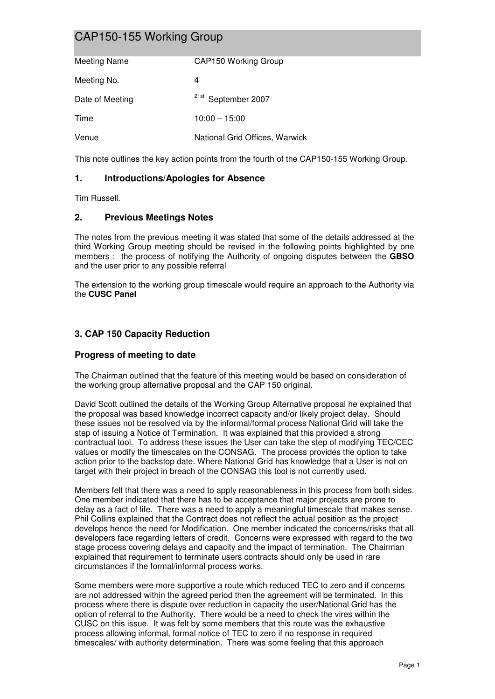| <b>Meeting Name</b> | CAP150 Working Group           |
|---------------------|--------------------------------|
| Meeting No.         | 4                              |
| Date of Meeting     | <sup>21st</sup> September 2007 |
| Time                | $10:00 - 15:00$                |
| Venue               | National Grid Offices, Warwick |

This note outlines the key action points from the fourth of the CAP150-155 Working Group.

## **1. Introductions/Apologies for Absence**

Tim Russell.

## **2. Previous Meetings Notes**

The notes from the previous meeting it was stated that some of the details addressed at the third Working Group meeting should be revised in the following points highlighted by one members : the process of notifying the Authority of ongoing disputes between the **GBSO** and the user prior to any possible referral

The extension to the working group timescale would require an approach to the Authority via the **CUSC Panel** 

# **3. CAP 150 Capacity Reduction**

## **Progress of meeting to date**

The Chairman outlined that the feature of this meeting would be based on consideration of the working group alternative proposal and the CAP 150 original.

David Scott outlined the details of the Working Group Alternative proposal he explained that the proposal was based knowledge incorrect capacity and/or likely project delay. Should these issues not be resolved via by the informal/formal process National Grid will take the step of issuing a Notice of Termination. It was explained that this provided a strong contractual tool. To address these issues the User can take the step of modifying TEC/CEC values or modify the timescales on the CONSAG. The process provides the option to take action prior to the backstop date. Where National Grid has knowledge that a User is not on target with their project in breach of the CONSAG this tool is not currently used.

Members felt that there was a need to apply reasonableness in this process from both sides. One member indicated that there has to be acceptance that major projects are prone to delay as a fact of life. There was a need to apply a meaningful timescale that makes sense. Phil Collins explained that the Contract does not reflect the actual position as the project develops hence the need for Modification. One member indicated the concerns/risks that all developers face regarding letters of credit. Concerns were expressed with regard to the two stage process covering delays and capacity and the impact of termination. The Chairman explained that requirement to terminate users contracts should only be used in rare circumstances if the formal/informal process works.

Some members were more supportive a route which reduced TEC to zero and if concerns are not addressed within the agreed period then the agreement will be terminated. In this process where there is dispute over reduction in capacity the user/National Grid has the option of referral to the Authority. There would be a need to check the vires within the CUSC on this issue. It was felt by some members that this route was the exhaustive process allowing informal, formal notice of TEC to zero if no response in required timescales/ with authority determination. There was some feeling that this approach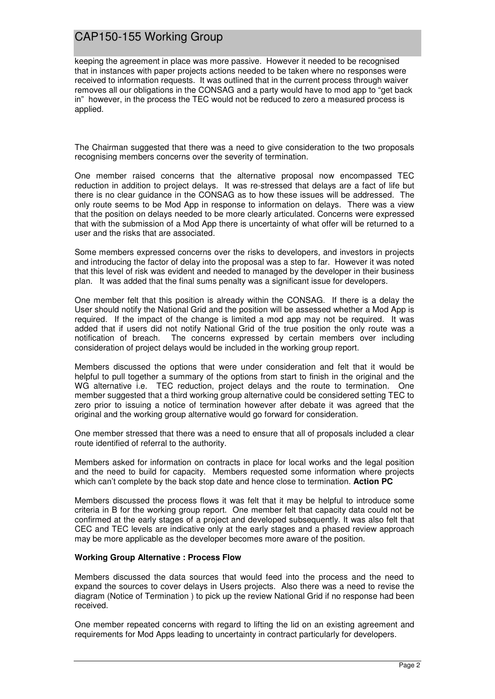keeping the agreement in place was more passive. However it needed to be recognised that in instances with paper projects actions needed to be taken where no responses were received to information requests. It was outlined that in the current process through waiver removes all our obligations in the CONSAG and a party would have to mod app to "get back in" however, in the process the TEC would not be reduced to zero a measured process is applied.

The Chairman suggested that there was a need to give consideration to the two proposals recognising members concerns over the severity of termination.

One member raised concerns that the alternative proposal now encompassed TEC reduction in addition to project delays. It was re-stressed that delays are a fact of life but there is no clear guidance in the CONSAG as to how these issues will be addressed. The only route seems to be Mod App in response to information on delays. There was a view that the position on delays needed to be more clearly articulated. Concerns were expressed that with the submission of a Mod App there is uncertainty of what offer will be returned to a user and the risks that are associated.

Some members expressed concerns over the risks to developers, and investors in projects and introducing the factor of delay into the proposal was a step to far. However it was noted that this level of risk was evident and needed to managed by the developer in their business plan. It was added that the final sums penalty was a significant issue for developers.

One member felt that this position is already within the CONSAG. If there is a delay the User should notify the National Grid and the position will be assessed whether a Mod App is required. If the impact of the change is limited a mod app may not be required. It was added that if users did not notify National Grid of the true position the only route was a notification of breach. The concerns expressed by certain members over including consideration of project delays would be included in the working group report.

Members discussed the options that were under consideration and felt that it would be helpful to pull together a summary of the options from start to finish in the original and the WG alternative i.e. TEC reduction, project delays and the route to termination. One member suggested that a third working group alternative could be considered setting TEC to zero prior to issuing a notice of termination however after debate it was agreed that the original and the working group alternative would go forward for consideration.

One member stressed that there was a need to ensure that all of proposals included a clear route identified of referral to the authority.

Members asked for information on contracts in place for local works and the legal position and the need to build for capacity. Members requested some information where projects which can't complete by the back stop date and hence close to termination. **Action PC** 

Members discussed the process flows it was felt that it may be helpful to introduce some criteria in B for the working group report. One member felt that capacity data could not be confirmed at the early stages of a project and developed subsequently. It was also felt that CEC and TEC levels are indicative only at the early stages and a phased review approach may be more applicable as the developer becomes more aware of the position.

#### **Working Group Alternative : Process Flow**

Members discussed the data sources that would feed into the process and the need to expand the sources to cover delays in Users projects. Also there was a need to revise the diagram (Notice of Termination ) to pick up the review National Grid if no response had been received.

One member repeated concerns with regard to lifting the lid on an existing agreement and requirements for Mod Apps leading to uncertainty in contract particularly for developers.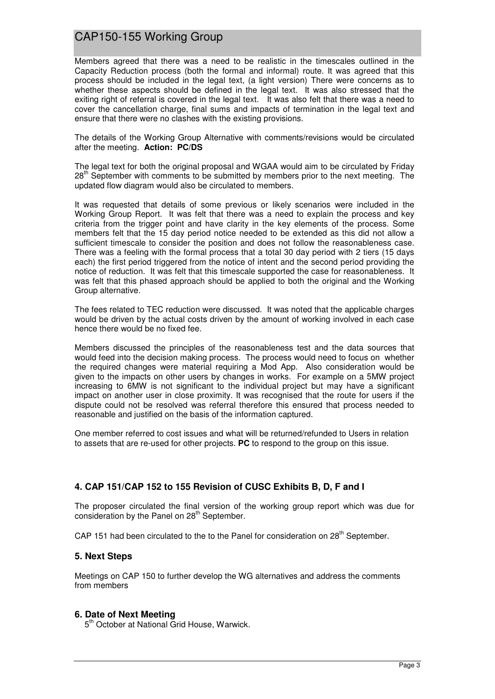Members agreed that there was a need to be realistic in the timescales outlined in the Capacity Reduction process (both the formal and informal) route. It was agreed that this process should be included in the legal text, (a light version) There were concerns as to whether these aspects should be defined in the legal text. It was also stressed that the exiting right of referral is covered in the legal text. It was also felt that there was a need to cover the cancellation charge, final sums and impacts of termination in the legal text and ensure that there were no clashes with the existing provisions.

The details of the Working Group Alternative with comments/revisions would be circulated after the meeting. **Action: PC/DS**

The legal text for both the original proposal and WGAA would aim to be circulated by Friday 28<sup>th</sup> September with comments to be submitted by members prior to the next meeting. The updated flow diagram would also be circulated to members.

It was requested that details of some previous or likely scenarios were included in the Working Group Report. It was felt that there was a need to explain the process and key criteria from the trigger point and have clarity in the key elements of the process. Some members felt that the 15 day period notice needed to be extended as this did not allow a sufficient timescale to consider the position and does not follow the reasonableness case. There was a feeling with the formal process that a total 30 day period with 2 tiers (15 days each) the first period triggered from the notice of intent and the second period providing the notice of reduction. It was felt that this timescale supported the case for reasonableness. It was felt that this phased approach should be applied to both the original and the Working Group alternative.

The fees related to TEC reduction were discussed. It was noted that the applicable charges would be driven by the actual costs driven by the amount of working involved in each case hence there would be no fixed fee.

Members discussed the principles of the reasonableness test and the data sources that would feed into the decision making process. The process would need to focus on whether the required changes were material requiring a Mod App. Also consideration would be given to the impacts on other users by changes in works. For example on a 5MW project increasing to 6MW is not significant to the individual project but may have a significant impact on another user in close proximity. It was recognised that the route for users if the dispute could not be resolved was referral therefore this ensured that process needed to reasonable and justified on the basis of the information captured.

One member referred to cost issues and what will be returned/refunded to Users in relation to assets that are re-used for other projects. **PC** to respond to the group on this issue.

## **4. CAP 151/CAP 152 to 155 Revision of CUSC Exhibits B, D, F and I**

The proposer circulated the final version of the working group report which was due for consideration by the Panel on 28<sup>th</sup> September.

CAP 151 had been circulated to the to the Panel for consideration on  $28<sup>th</sup>$  September.

#### **5. Next Steps**

Meetings on CAP 150 to further develop the WG alternatives and address the comments from members

#### **6. Date of Next Meeting**

5<sup>th</sup> October at National Grid House, Warwick.